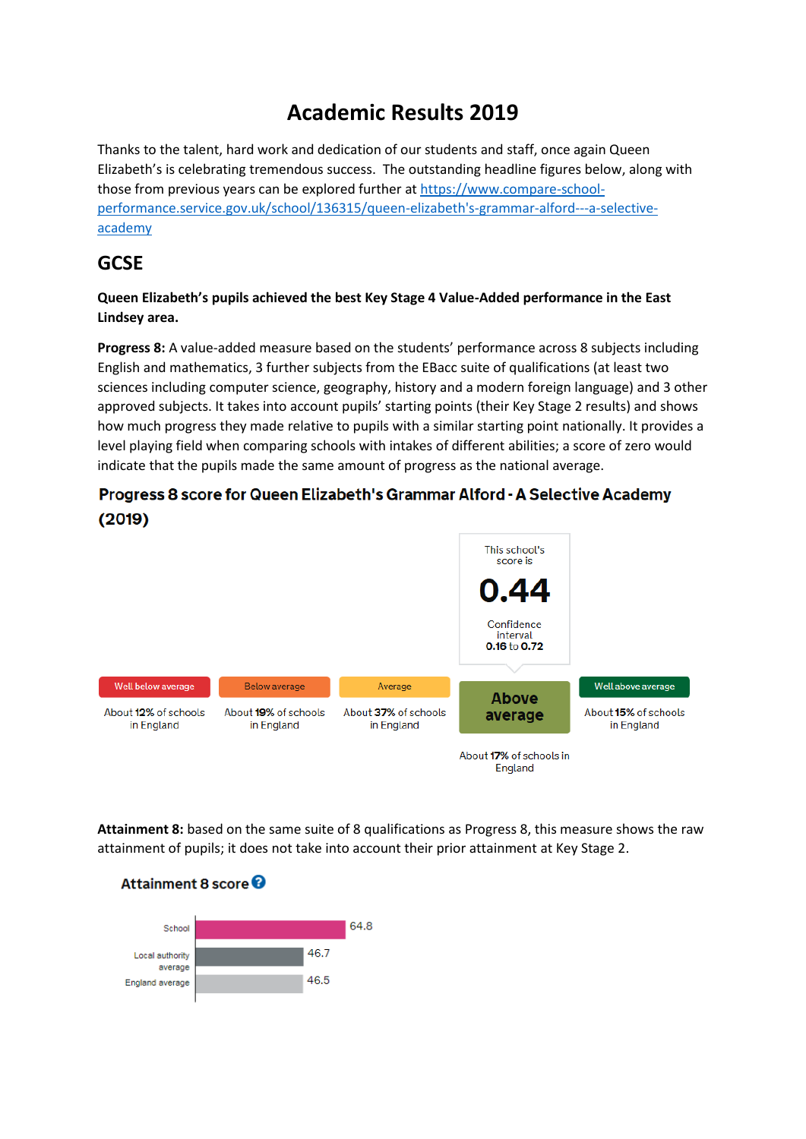# **Academic Results 2019**

Thanks to the talent, hard work and dedication of our students and staff, once again Queen Elizabeth's is celebrating tremendous success. The outstanding headline figures below, along with those from previous years can be explored further a[t https://www.compare-school](https://www.compare-school-performance.service.gov.uk/school/136315/queen-elizabeth)[performance.service.gov.uk/school/136315/queen-elizabeth's-grammar-alford---a-selective](https://www.compare-school-performance.service.gov.uk/school/136315/queen-elizabeth)[academy](https://www.compare-school-performance.service.gov.uk/school/136315/queen-elizabeth)

#### **GCSE**

#### **Queen Elizabeth's pupils achieved the best Key Stage 4 Value-Added performance in the East Lindsey area.**

**Progress 8:** A value-added measure based on the students' performance across 8 subjects including English and mathematics, 3 further subjects from the EBacc suite of qualifications (at least two sciences including computer science, geography, history and a modern foreign language) and 3 other approved subjects. It takes into account pupils' starting points (their Key Stage 2 results) and shows how much progress they made relative to pupils with a similar starting point nationally. It provides a level playing field when comparing schools with intakes of different abilities; a score of zero would indicate that the pupils made the same amount of progress as the national average.

#### Progress 8 score for Queen Elizabeth's Grammar Alford - A Selective Academy  $(2019)$



**Attainment 8:** based on the same suite of 8 qualifications as Progress 8, this measure shows the raw attainment of pupils; it does not take into account their prior attainment at Key Stage 2.



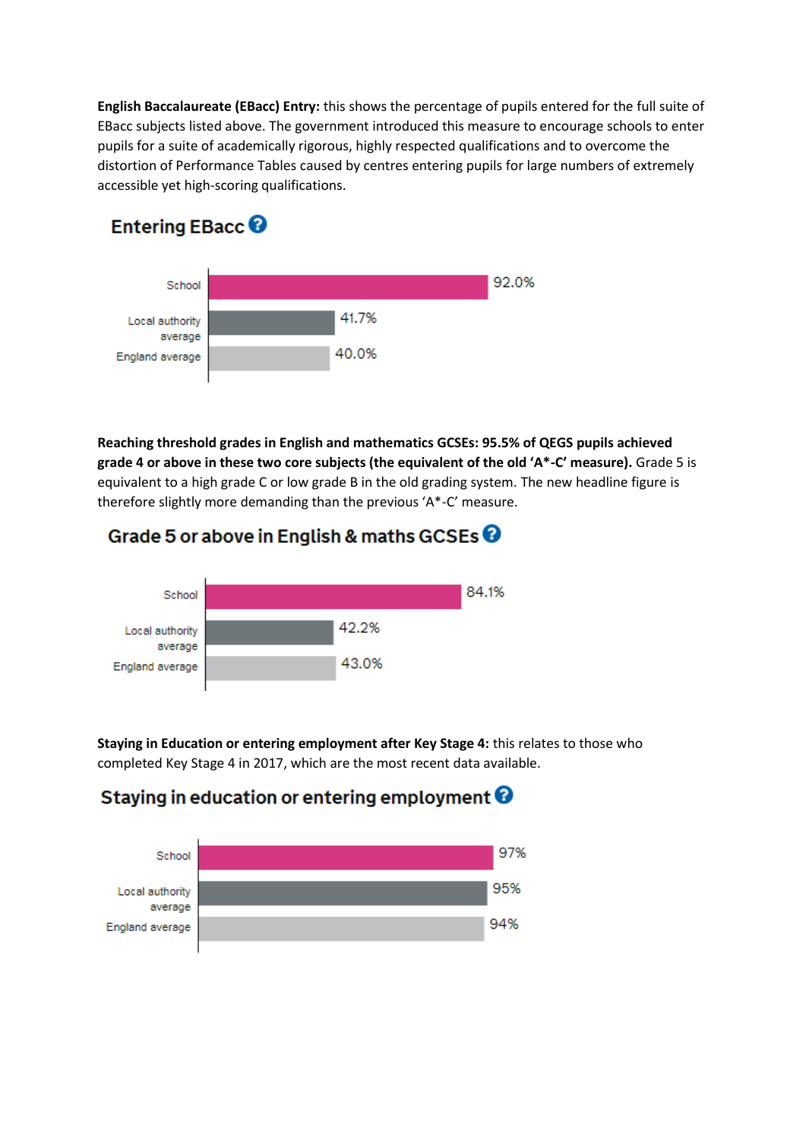**English Baccalaureate (EBacc) Entry:** this shows the percentage of pupils entered for the full suite of EBacc subjects listed above. The government introduced this measure to encourage schools to enter pupils for a suite of academically rigorous, highly respected qualifications and to overcome the distortion of Performance Tables caused by centres entering pupils for large numbers of extremely accessible yet high-scoring qualifications.

### Entering EBacc<sup>O</sup>



**Reaching threshold grades in English and mathematics GCSEs: 95.5% of QEGS pupils achieved grade 4 or above in these two core subjects (the equivalent of the old 'A\*-C' measure).** Grade 5 is equivalent to a high grade C or low grade B in the old grading system. The new headline figure is therefore slightly more demanding than the previous 'A\*-C' measure.





**Staying in Education or entering employment after Key Stage 4:** this relates to those who completed Key Stage 4 in 2017, which are the most recent data available.

## Staying in education or entering employment  $\boldsymbol{\Theta}$

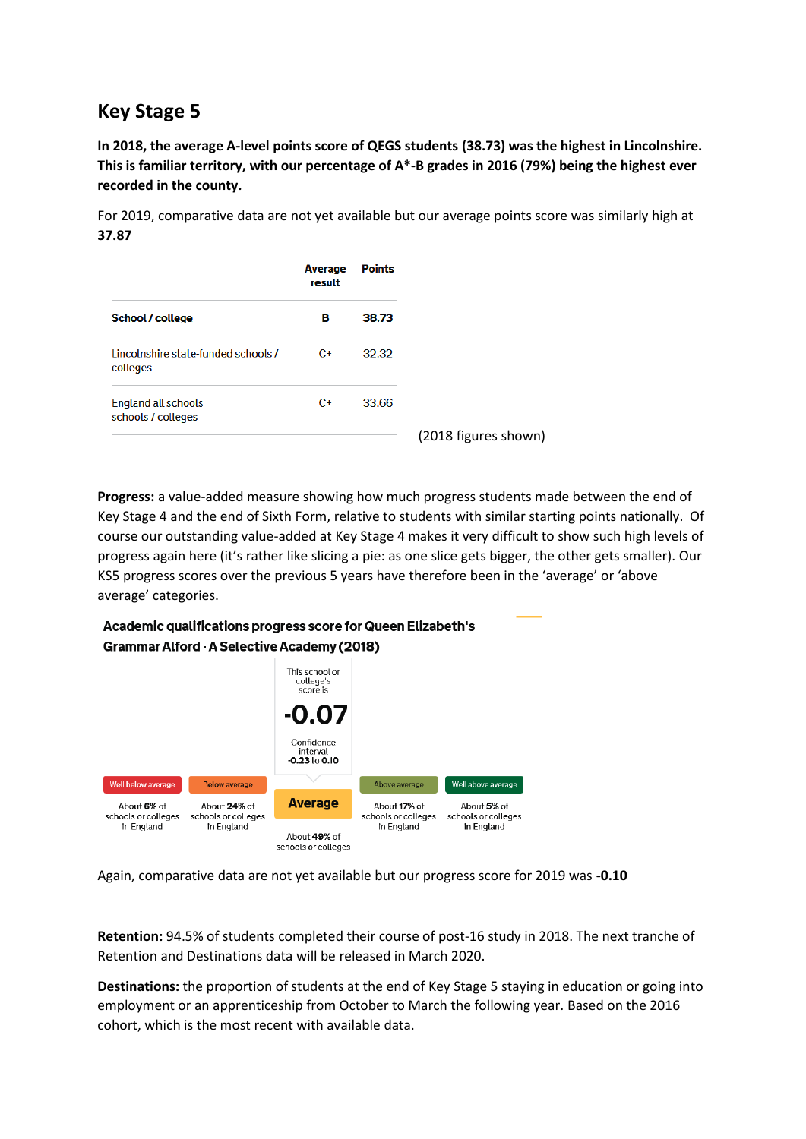## **Key Stage 5**

**In 2018, the average A-level points score of QEGS students (38.73) was the highest in Lincolnshire. This is familiar territory, with our percentage of A\*-B grades in 2016 (79%) being the highest ever recorded in the county.**

For 2019, comparative data are not yet available but our average points score was similarly high at **37.87**

|                                                  | Average<br>result | <b>Points</b> |                      |
|--------------------------------------------------|-------------------|---------------|----------------------|
| School / college                                 | в                 | 38.73         |                      |
| Lincolnshire state-funded schools /<br>colleges  | $C+$              | 32.32         |                      |
| <b>England all schools</b><br>schools / colleges | $C_{\pm}$         | 33.66         |                      |
|                                                  |                   |               | (2018 figures shown) |

**Progress:** a value-added measure showing how much progress students made between the end of Key Stage 4 and the end of Sixth Form, relative to students with similar starting points nationally. Of course our outstanding value-added at Key Stage 4 makes it very difficult to show such high levels of progress again here (it's rather like slicing a pie: as one slice gets bigger, the other gets smaller). Our KS5 progress scores over the previous 5 years have therefore been in the 'average' or 'above average' categories.

#### Academic qualifications progress score for Queen Elizabeth's **Grammar Alford - A Selective Academy (2018)**



Again, comparative data are not yet available but our progress score for 2019 was **-0.10**

**Retention:** 94.5% of students completed their course of post-16 study in 2018. The next tranche of Retention and Destinations data will be released in March 2020.

**Destinations:** the proportion of students at the end of Key Stage 5 staying in education or going into employment or an apprenticeship from October to March the following year. Based on the 2016 cohort, which is the most recent with available data.